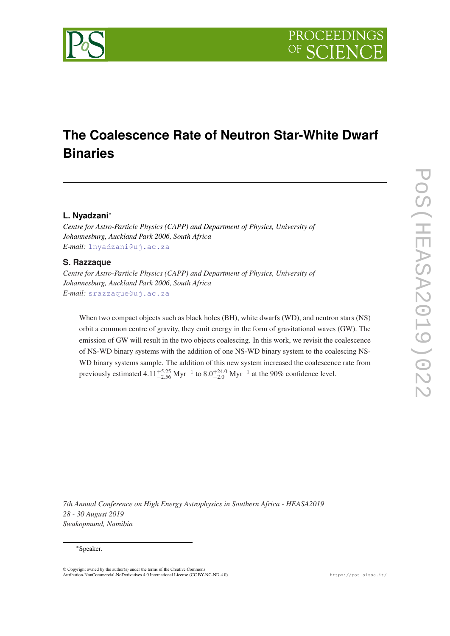

# **The Coalescence Rate of Neutron Star-White Dwarf Binaries**

# **L. Nyadzani**\*

*Centre for Astro-Particle Physics (CAPP) and Department of Physics, University of Johannesburg, Auckland Park 2006, South Africa E-mail:* [lnyadzani@uj.ac.za](mailto:lnyadzani@uj.ac.za)

# **S. Razzaque**

*Centre for Astro-Particle Physics (CAPP) and Department of Physics, University of Johannesburg, Auckland Park 2006, South Africa E-mail:* [srazzaque@uj.ac.za](mailto:srazzaque@uj.ac.za)

When two compact objects such as black holes (BH), white dwarfs (WD), and neutron stars (NS) orbit a common centre of gravity, they emit energy in the form of gravitational waves (GW). The emission of GW will result in the two objects coalescing. In this work, we revisit the coalescence of NS-WD binary systems with the addition of one NS-WD binary system to the coalescing NS-WD binary systems sample. The addition of this new system increased the coalescence rate from previously estimated  $4.11_{-2.56}^{+5.25}$  Myr<sup>-1</sup> to  $8.0_{-2.0}^{+24.0}$  Myr<sup>-1</sup> at the 90% confidence level.

*7th Annual Conference on High Energy Astrophysics in Southern Africa - HEASA2019 28 - 30 August 2019 Swakopmund, Namibia*

#### \*Speaker.

© Copyright owned by the author(s) under the terms of the Creative Commons Attribution-NonCommercial-NoDerivatives 4.0 International License (CC BY-NC-ND 4.0). https://pos.sissa.it/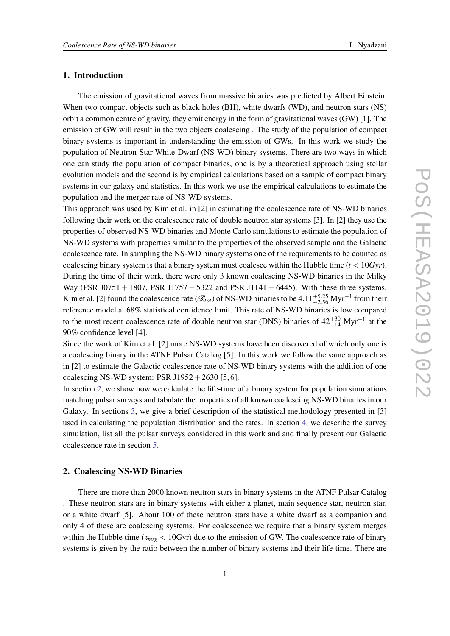## 1. Introduction

The emission of gravitational waves from massive binaries was predicted by Albert Einstein. When two compact objects such as black holes (BH), white dwarfs (WD), and neutron stars (NS) orbit a common centre of gravity, they emit energy in the form of gravitational waves (GW) [1]. The emission of GW will result in the two objects coalescing . The study of the population of compact binary systems is important in understanding the emission of GWs. In this work we study the population of Neutron-Star White-Dwarf (NS-WD) binary systems. There are two ways in which one can study the population of compact binaries, one is by a theoretical approach using stellar evolution models and the second is by empirical calculations based on a sample of compact binary systems in our galaxy and statistics. In this work we use the empirical calculations to estimate the population and the merger rate of NS-WD systems.

This approach was used by Kim et al. in [2] in estimating the coalescence rate of NS-WD binaries following their work on the coalescence rate of double neutron star systems [3]. In [2] they use the properties of observed NS-WD binaries and Monte Carlo simulations to estimate the population of NS-WD systems with properties similar to the properties of the observed sample and the Galactic coalescence rate. In sampling the NS-WD binary systems one of the requirements to be counted as coalescing binary system is that a binary system must coalesce within the Hubble time  $(t < 10Gyr)$ . During the time of their work, there were only 3 known coalescing NS-WD binaries in the Milky Way (PSR J0751 + 1807, PSR J1757 – 5322 and PSR J1141 – 6445). With these three systems, Kim et al. [2] found the coalescence rate ( $\mathcal{R}_{tot}$ ) of NS-WD binaries to be  $4.11^{+5.25}_{-2.56}$  Myr<sup>-1</sup> from their reference model at 68% statistical confidence limit. This rate of NS-WD binaries is low compared to the most recent coalescence rate of double neutron star (DNS) binaries of  $42^{+30}_{-14}$  Myr<sup>-1</sup> at the 90% confidence level [4].

Since the work of Kim et al. [2] more NS-WD systems have been discovered of which only one is a coalescing binary in the ATNF Pulsar Catalog [5]. In this work we follow the same approach as in [2] to estimate the Galactic coalescence rate of NS-WD binary systems with the addition of one coalescing NS-WD system: PSR J1952 + 2630 [5, 6].

In section 2, we show how we calculate the life-time of a binary system for population simulations matching pulsar surveys and tabulate the properties of all known coalescing NS-WD binaries in our Galaxy. In sections [3,](#page-3-0) we give a brief description of the statistical methodology presented in [3] used in calculating the population distribution and the rates. In section [4,](#page-5-0) we describe the survey simulation, list all the pulsar surveys considered in this work and and finally present our Galactic coalescence rate in section [5.](#page-5-0)

## 2. Coalescing NS-WD Binaries

There are more than 2000 known neutron stars in binary systems in the ATNF Pulsar Catalog . These neutron stars are in binary systems with either a planet, main sequence star, neutron star, or a white dwarf [5]. About 100 of these neutron stars have a white dwarf as a companion and only 4 of these are coalescing systems. For coalescence we require that a binary system merges within the Hubble time ( $\tau_{mrg}$  < 10Gyr) due to the emission of GW. The coalescence rate of binary systems is given by the ratio between the number of binary systems and their life time. There are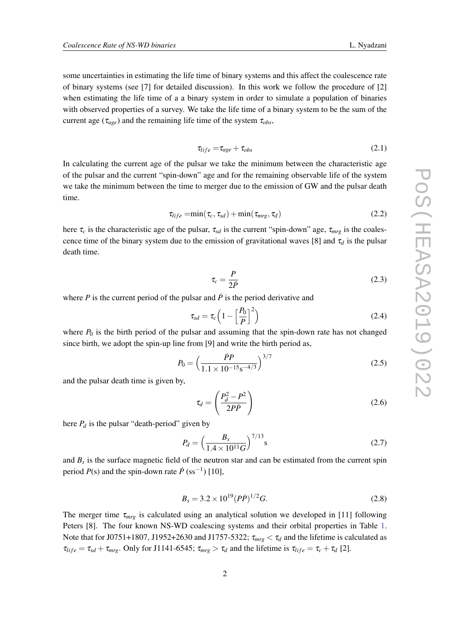some uncertainties in estimating the life time of binary systems and this affect the coalescence rate of binary systems (see [7] for detailed discussion). In this work we follow the procedure of [2] when estimating the life time of a a binary system in order to simulate a population of binaries with observed properties of a survey. We take the life time of a binary system to be the sum of the current age ( $\tau_{age}$ ) and the remaining life time of the system  $\tau_{obs}$ ,

$$
\tau_{life} = \tau_{age} + \tau_{obs} \tag{2.1}
$$

In calculating the current age of the pulsar we take the minimum between the characteristic age of the pulsar and the current "spin-down" age and for the remaining observable life of the system we take the minimum between the time to merger due to the emission of GW and the pulsar death time.

$$
\tau_{life} = \min(\tau_c, \tau_{sd}) + \min(\tau_{mrg}, \tau_d)
$$
\n(2.2)

here  $\tau_c$  is the characteristic age of the pulsar,  $\tau_{sd}$  is the current "spin-down" age,  $\tau_{mrg}$  is the coalescence time of the binary system due to the emission of gravitational waves [8] and  $\tau_d$  is the pulsar death time.

$$
\tau_c = \frac{P}{2P} \tag{2.3}
$$

where  $P$  is the current period of the pulsar and  $\dot{P}$  is the period derivative and

$$
\tau_{sd} = \tau_c \left( 1 - \left[ \frac{P_0}{P} \right]^2 \right) \tag{2.4}
$$

where  $P_0$  is the birth period of the pulsar and assuming that the spin-down rate has not changed since birth, we adopt the spin-up line from [9] and write the birth period as,

$$
P_0 = \left(\frac{\dot{P}P}{1.1 \times 10^{-15} \text{s}^{-4/3}}\right)^{3/7} \tag{2.5}
$$

and the pulsar death time is given by,

$$
\tau_d = \left(\frac{P_d^2 - P^2}{2P\dot{P}}\right) \tag{2.6}
$$

here  $P_d$  is the pulsar "death-period" given by

$$
P_d = \left(\frac{B_s}{1.4 \times 10^{11} G}\right)^{7/13} \text{s} \tag{2.7}
$$

and *B<sup>s</sup>* is the surface magnetic field of the neutron star and can be estimated from the current spin period  $P(s)$  and the spin-down rate  $\dot{P}$  (ss<sup>-1</sup>) [10],

$$
B_s = 3.2 \times 10^{19} (P\dot{P})^{1/2} G. \tag{2.8}
$$

The merger time  $\tau_{mrg}$  is calculated using an analytical solution we developed in [11] following Peters [8]. The four known NS-WD coalescing systems and their orbital properties in Table [1](#page-3-0). Note that for J0751+1807, J1952+2630 and J1757-5322;  $\tau_{mrg} < \tau_d$  and the lifetime is calculated as  $\tau_{life} = \tau_{sd} + \tau_{mrg}$ . Only for J1141-6545;  $\tau_{mrg} > \tau_d$  and the lifetime is  $\tau_{life} = \tau_c + \tau_d$  [2].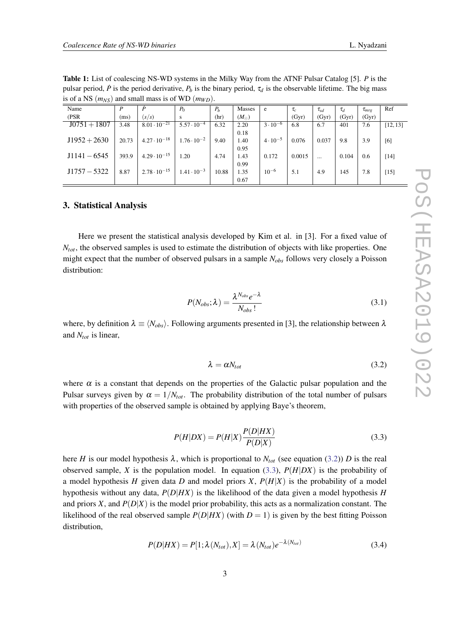PoS(HEASA2019)022

POS(EEASA2019)022

| is of a NS $(mNS)$ and small mass is of WD $(mWD)$ . |       |                       |                      |       |               |                   |          |             |          |              |          |
|------------------------------------------------------|-------|-----------------------|----------------------|-------|---------------|-------------------|----------|-------------|----------|--------------|----------|
| Name                                                 | D     |                       | $P_0$                | $P_h$ | Masses        | e                 | $\tau_c$ | $\tau_{sd}$ | $\tau_d$ | $\tau_{mre}$ | Ref      |
| (PSR)                                                | (ms)  | (s/s)                 | s                    | (hr)  | $(M_{\odot})$ |                   | (Gyr)    | (Gyr)       | (Gyr)    | (Gyr)        |          |
| $J0751 + 1807$                                       | 3.48  | $8.01 \cdot 10^{-21}$ | $5.57 \cdot 10^{-4}$ | 6.32  | 2.20          | $3 \cdot 10^{-6}$ | 6.8      | 6.7         | 401      | 7.6          | [12, 13] |
|                                                      |       |                       |                      |       | 0.18          |                   |          |             |          |              |          |
| $J1952 + 2630$                                       | 20.73 | $4.27 \cdot 10^{-18}$ | $1.76 \cdot 10^{-2}$ | 9.40  | 1.40          | $4 \cdot 10^{-5}$ | 0.076    | 0.037       | 9.8      | 3.9          | [6]      |
|                                                      |       |                       |                      |       | 0.95          |                   |          |             |          |              |          |
| $J1141 - 6545$                                       | 393.9 | $4.29 \cdot 10^{-15}$ | 1.20                 | 4.74  | 1.43          | 0.172             | 0.0015   | $\cdots$    | 0.104    | 0.6          | $[14]$   |
|                                                      |       |                       |                      |       | 0.99          |                   |          |             |          |              |          |
| $J1757 - 5322$                                       | 8.87  | $2.78 \cdot 10^{-15}$ | $1.41 \cdot 10^{-3}$ | 10.88 | 1.35          | $10^{-6}$         | 5.1      | 4.9         | 145      | 7.8          | $[15]$   |
|                                                      |       |                       |                      |       | 0.67          |                   |          |             |          |              |          |

<span id="page-3-0"></span>Table 1: List of coalescing NS-WD systems in the Milky Way from the ATNF Pulsar Catalog [5]. *P* is the pulsar period,  $\dot{P}$  is the period derivative,  $P_b$  is the binary period,  $\tau_d$  is the observable lifetime. The big mass is of a NS  $(m_{M2})$  and small mass is of WD  $(m_{M2})$ .

# 3. Statistical Analysis

Here we present the statistical analysis developed by Kim et al. in [3]. For a fixed value of  $N_{tot}$ , the observed samples is used to estimate the distribution of objects with like properties. One might expect that the number of observed pulsars in a sample *Nobs* follows very closely a Poisson distribution:

$$
P(N_{obs}; \lambda) = \frac{\lambda^{N_{obs}} e^{-\lambda}}{N_{obs}!}
$$
 (3.1)

where, by definition  $\lambda \equiv \langle N_{obs} \rangle$ . Following arguments presented in [3], the relationship between  $\lambda$ and *Ntot* is linear,

$$
\lambda = \alpha N_{tot} \tag{3.2}
$$

where  $\alpha$  is a constant that depends on the properties of the Galactic pulsar population and the Pulsar surveys given by  $\alpha = 1/N_{tot}$ . The probability distribution of the total number of pulsars with properties of the observed sample is obtained by applying Baye's theorem,

$$
P(H|DX) = P(H|X)\frac{P(D|HX)}{P(D|X)}
$$
\n(3.3)

here *H* is our model hypothesis  $\lambda$ , which is proportional to  $N_{tot}$  (see equation (3.2)) *D* is the real observed sample, *X* is the population model. In equation (3.3),  $P(H|DX)$  is the probability of a model hypothesis *H* given data *D* and model priors *X*,  $P(H|X)$  is the probability of a model hypothesis without any data, *P*(*D*|*HX*) is the likelihood of the data given a model hypothesis *H* and priors *X*, and  $P(D|X)$  is the model prior probability, this acts as a normalization constant. The likelihood of the real observed sample  $P(D|HX)$  (with  $D = 1$ ) is given by the best fitting Poisson distribution,

$$
P(D|HX) = P[1; \lambda(N_{tot}), X] = \lambda(N_{tot})e^{-\lambda(N_{tot})}
$$
\n(3.4)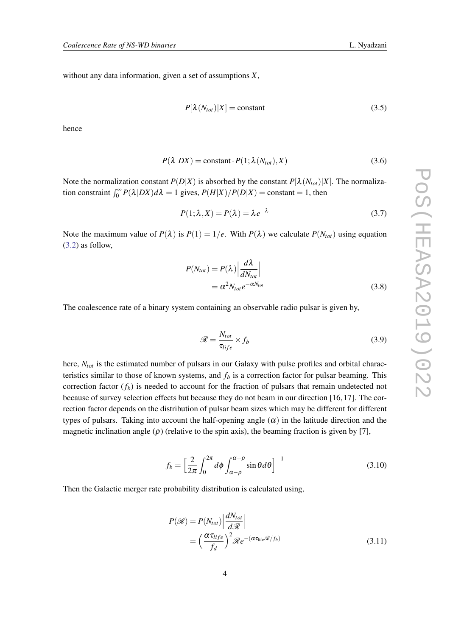<span id="page-4-0"></span>without any data information, given a set of assumptions *X*,

$$
P[\lambda(N_{tot})|X] = \text{constant} \tag{3.5}
$$

hence

$$
P(\lambda|DX) = \text{constant} \cdot P(1; \lambda(N_{tot}), X) \tag{3.6}
$$

Note the normalization constant  $P(D|X)$  is absorbed by the constant  $P[\lambda(N_{tot})|X]$ . The normalization constraint  $\int_0^\infty P(\lambda|DX)d\lambda = 1$  gives,  $P(H|X)/P(D|X) = \text{constant} = 1$ , then

$$
P(1; \lambda, X) = P(\lambda) = \lambda e^{-\lambda}
$$
\n(3.7)

Note the maximum value of  $P(\lambda)$  is  $P(1) = 1/e$ . With  $P(\lambda)$  we calculate  $P(N_{tot})$  using equation ([3.2\)](#page-3-0) as follow,

$$
P(N_{tot}) = P(\lambda) \left| \frac{d\lambda}{dN_{tot}} \right|
$$
  
=  $\alpha^2 N_{tot} e^{-\alpha N_{tot}}$  (3.8)

The coalescence rate of a binary system containing an observable radio pulsar is given by,

$$
\mathcal{R} = \frac{N_{tot}}{\tau_{life}} \times f_b \tag{3.9}
$$

here, *Ntot* is the estimated number of pulsars in our Galaxy with pulse profiles and orbital characteristics similar to those of known systems, and  $f<sub>b</sub>$  is a correction factor for pulsar beaming. This correction factor  $(f_b)$  is needed to account for the fraction of pulsars that remain undetected not because of survey selection effects but because they do not beam in our direction [16, 17]. The correction factor depends on the distribution of pulsar beam sizes which may be different for different types of pulsars. Taking into account the half-opening angle  $(\alpha)$  in the latitude direction and the magnetic inclination angle  $(\rho)$  (relative to the spin axis), the beaming fraction is given by [7],

$$
f_b = \left[\frac{2}{2\pi} \int_0^{2\pi} d\phi \int_{\alpha-\rho}^{\alpha+\rho} \sin\theta d\theta\right]^{-1} \tag{3.10}
$$

Then the Galactic merger rate probability distribution is calculated using,

$$
P(\mathcal{R}) = P(N_{tot}) \left| \frac{dN_{tot}}{d\mathcal{R}} \right|
$$
  
= 
$$
\left( \frac{\alpha \tau_{life}}{f_d} \right)^2 \mathcal{R} e^{-(\alpha \tau_{life} \mathcal{R}/f_b)}
$$
(3.11)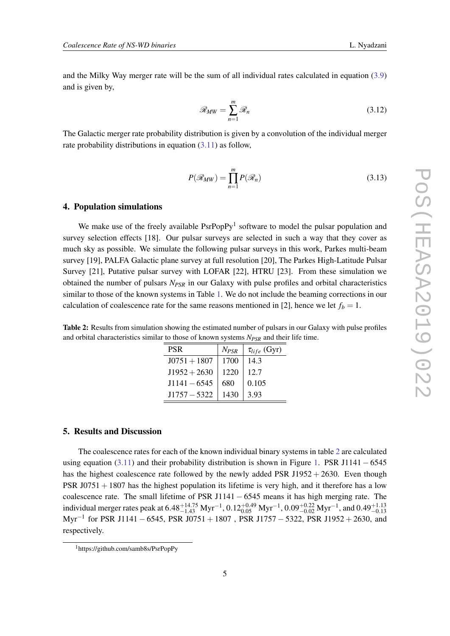<span id="page-5-0"></span>and the Milky Way merger rate will be the sum of all individual rates calculated in equation ([3.9](#page-4-0)) and is given by,

$$
\mathcal{R}_{MW} = \sum_{n=1}^{m} \mathcal{R}_n
$$
\n(3.12)

The Galactic merger rate probability distribution is given by a convolution of the individual merger rate probability distributions in equation [\(3.11](#page-4-0)) as follow,

$$
P(\mathcal{R}_{MW}) = \prod_{n=1}^{m} P(\mathcal{R}_n)
$$
\n(3.13)

#### 4. Population simulations

We make use of the freely available  $PsrPopPy<sup>1</sup>$  software to model the pulsar population and survey selection effects [18]. Our pulsar surveys are selected in such a way that they cover as much sky as possible. We simulate the following pulsar surveys in this work, Parkes multi-beam survey [19], PALFA Galactic plane survey at full resolution [20], The Parkes High-Latitude Pulsar Survey [21], Putative pulsar survey with LOFAR [22], HTRU [23]. From these simulation we obtained the number of pulsars *NPSR* in our Galaxy with pulse profiles and orbital characteristics similar to those of the known systems in Table [1](#page-3-0). We do not include the beaming corrections in our calculation of coalescence rate for the same reasons mentioned in [2], hence we let  $f_b = 1$ .

Table 2: Results from simulation showing the estimated number of pulsars in our Galaxy with pulse profiles and orbital characteristics similar to those of known systems *NPSR* and their life time.

| PSR            | $N_{PSR}$ | $\tau_{life}$ (Gyr) |
|----------------|-----------|---------------------|
| $J0751 + 1807$ | 1700      | 14.3                |
| $J1952 + 2630$ | 1220      | 12.7                |
| $J1141 - 6545$ | 680       | 0.105               |
| $J1757 - 5322$ | 1430      | 3.93                |

## 5. Results and Discussion

The coalescence rates for each of the known individual binary systems in table 2 are calculated using equation  $(3.11)$  $(3.11)$  and their probability distribution is shown in Figure [1.](#page-6-0) PSR J1141 – 6545 has the highest coalescence rate followed by the newly added PSR J1952 + 2630. Even though PSR  $J0751 + 1807$  has the highest population its lifetime is very high, and it therefore has a low coalescence rate. The small lifetime of PSR J1141 − 6545 means it has high merging rate. The individual merger rates peak at  $6.48_{-1.43}^{+14.75}$   $Myr^{-1}$ ,  $0.12_{0.05}^{+0.49}$   $Myr^{-1}$ ,  $0.09_{-0.02}^{+0.22}$   $Myr^{-1}$ , and  $0.49_{-0.13}^{+1.13}$ Myr−<sup>1</sup> for PSR J1141 − 6545, PSR J0751 + 1807 , PSR J1757 − 5322, PSR J1952 + 2630, and respectively.

<sup>1</sup>https://github.com/samb8s/PsrPopPy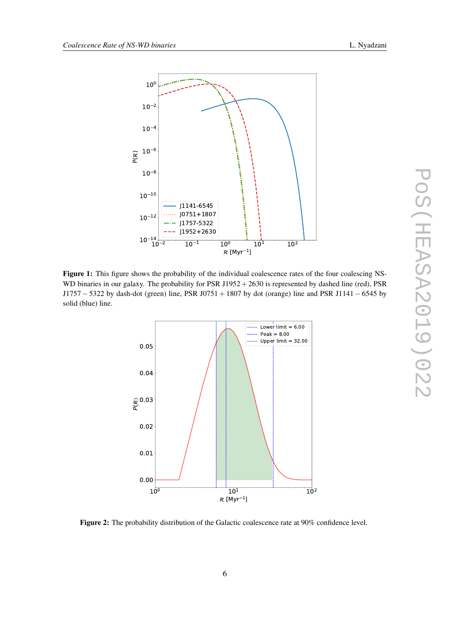

<span id="page-6-0"></span>

Figure 1: This figure shows the probability of the individual coalescence rates of the four coalescing NS-WD binaries in our galaxy. The probability for PSR  $J1952 + 2630$  is represented by dashed line (red), PSR J1757 − 5322 by dash-dot (green) line, PSR J0751 + 1807 by dot (orange) line and PSR J1141 − 6545 by solid (blue) line.



Figure 2: The probability distribution of the Galactic coalescence rate at 90% confidence level.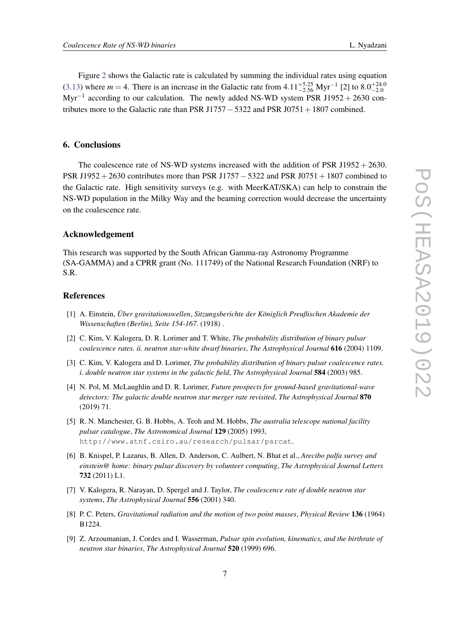Figure [2](#page-6-0) shows the Galactic rate is calculated by summing the individual rates using equation  $(3.13)$  $(3.13)$  $(3.13)$  where  $m = 4$ . There is an increase in the Galactic rate from  $4.11^{+5.25}_{-2.56}$  Myr<sup>-1</sup> [2] to  $8.0^{+24.0}_{-2.0}$ Myr<sup>-1</sup> according to our calculation. The newly added NS-WD system PSR J1952 + 2630 contributes more to the Galactic rate than PSR J1757  $-$  5322 and PSR J0751  $+$ 1807 combined.

## 6. Conclusions

The coalescence rate of NS-WD systems increased with the addition of PSR J1952  $+$  2630. PSR J1952+2630 contributes more than PSR J1757−5322 and PSR J0751+1807 combined to the Galactic rate. High sensitivity surveys (e.g. with MeerKAT/SKA) can help to constrain the NS-WD population in the Milky Way and the beaming correction would decrease the uncertainty on the coalescence rate.

### Acknowledgement

This research was supported by the South African Gamma-ray Astronomy Programme (SA-GAMMA) and a CPRR grant (No. 111749) of the National Research Foundation (NRF) to S.R.

### References

- [1] A. Einstein, *Über gravitationswellen*, *Sitzungsberichte der Königlich Preußischen Akademie der Wissenschaften (Berlin), Seite 154-167.* (1918) .
- [2] C. Kim, V. Kalogera, D. R. Lorimer and T. White, *The probability distribution of binary pulsar coalescence rates. ii. neutron star-white dwarf binaries*, *The Astrophysical Journal* 616 (2004) 1109.
- [3] C. Kim, V. Kalogera and D. Lorimer, *The probability distribution of binary pulsar coalescence rates. i. double neutron star systems in the galactic field*, *The Astrophysical Journal* 584 (2003) 985.
- [4] N. Pol, M. McLaughlin and D. R. Lorimer, *Future prospects for ground-based gravitational-wave detectors: The galactic double neutron star merger rate revisited*, *The Astrophysical Journal* 870 (2019) 71.
- [5] R. N. Manchester, G. B. Hobbs, A. Teoh and M. Hobbs, *The australia telescope national facility pulsar catalogue*, *The Astronomical Journal* 129 (2005) 1993, http://www.atnf.csiro.au/research/pulsar/psrcat.
- [6] B. Knispel, P. Lazarus, B. Allen, D. Anderson, C. Aulbert, N. Bhat et al., *Arecibo palfa survey and einstein@ home: binary pulsar discovery by volunteer computing*, *The Astrophysical Journal Letters* 732 (2011) L1.
- [7] V. Kalogera, R. Narayan, D. Spergel and J. Taylor, *The coalescence rate of double neutron star systems*, *The Astrophysical Journal* 556 (2001) 340.
- [8] P. C. Peters, *Gravitational radiation and the motion of two point masses*, *Physical Review* 136 (1964) B1224.
- [9] Z. Arzoumanian, J. Cordes and I. Wasserman, *Pulsar spin evolution, kinematics, and the birthrate of neutron star binaries*, *The Astrophysical Journal* 520 (1999) 696.